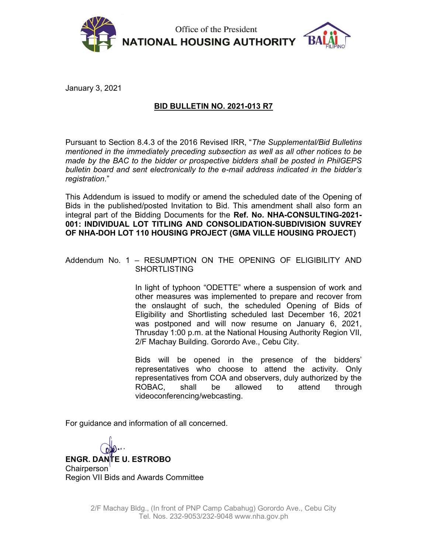

Office of the President **NATIONAL HOUSING AUTHORITY** 



January 3, 2021

## BID BULLETIN NO. 2021-013 R7

Pursuant to Section 8.4.3 of the 2016 Revised IRR, "The Supplemental/Bid Bulletins mentioned in the immediately preceding subsection as well as all other notices to be made by the BAC to the bidder or prospective bidders shall be posted in PhilGEPS bulletin board and sent electronically to the e-mail address indicated in the bidder's registration."

This Addendum is issued to modify or amend the scheduled date of the Opening of Bids in the published/posted Invitation to Bid. This amendment shall also form an integral part of the Bidding Documents for the Ref. No. NHA-CONSULTING-2021- 001: INDIVIDUAL LOT TITLING AND CONSOLIDATION-SUBDIVISION SUVREY OF NHA-DOH LOT 110 HOUSING PROJECT (GMA VILLE HOUSING PROJECT)

## Addendum No. 1 – RESUMPTION ON THE OPENING OF ELIGIBILITY AND SHORTLISTING

In light of typhoon "ODETTE" where a suspension of work and other measures was implemented to prepare and recover from the onslaught of such, the scheduled Opening of Bids of Eligibility and Shortlisting scheduled last December 16, 2021 was postponed and will now resume on January 6, 2021, Thrusday 1:00 p.m. at the National Housing Authority Region VII, 2/F Machay Building. Gorordo Ave., Cebu City.

Bids will be opened in the presence of the bidders' representatives who choose to attend the activity. Only representatives from COA and observers, duly authorized by the ROBAC, shall be allowed to attend through videoconferencing/webcasting.

For guidance and information of all concerned.

ENGR. DANTE U. ESTROBO Chairperson Region VII Bids and Awards Committee